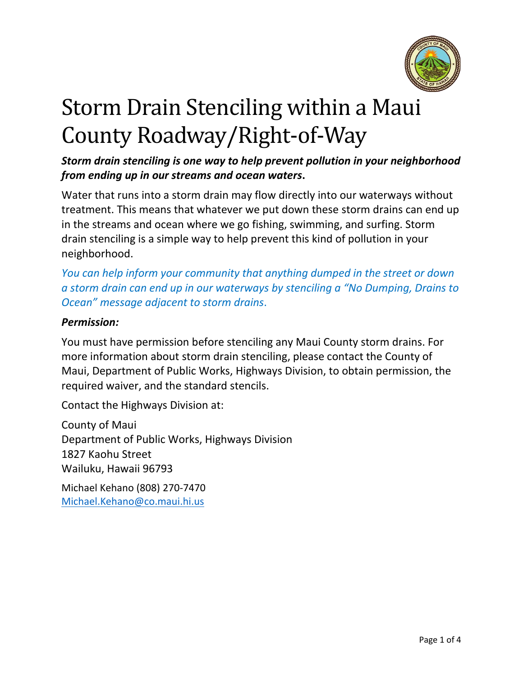

# Storm Drain Stenciling within a Maui County Roadway/Right‐of‐Way

*Storm drain stenciling is one way to help prevent pollution in your neighborhood from ending up in our streams and ocean waters***.**

Water that runs into a storm drain may flow directly into our waterways without treatment. This means that whatever we put down these storm drains can end up in the streams and ocean where we go fishing, swimming, and surfing. Storm drain stenciling is a simple way to help prevent this kind of pollution in your neighborhood.

*You can help inform your community that anything dumped in the street or down a storm drain can end up in our waterways by stenciling a "No Dumping, Drains to Ocean" message adjacent to storm drains*.

## *Permission:*

You must have permission before stenciling any Maui County storm drains. For more information about storm drain stenciling, please contact the County of Maui, Department of Public Works, Highways Division, to obtain permission, the required waiver, and the standard stencils.

Contact the Highways Division at:

County of Maui Department of Public Works, Highways Division 1827 Kaohu Street Wailuku, Hawaii 96793

Michael Kehano (808) 270-7470 [Michael.Kehano@co.maui.hi.us](mailto:Michael.Kehano@co.maui.hi.us)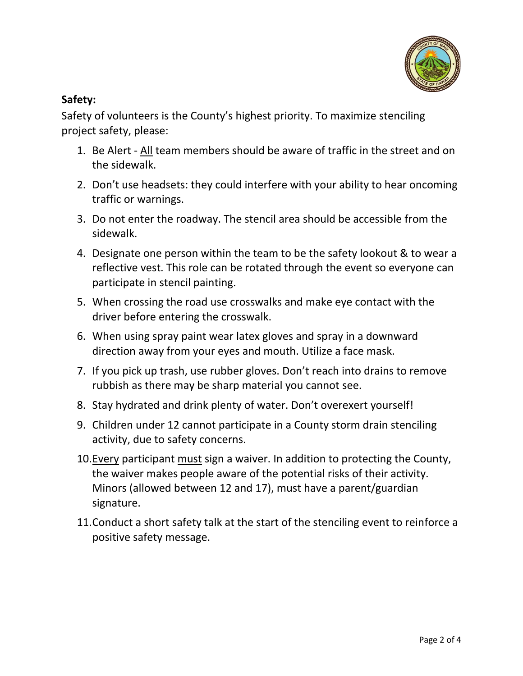

# **Safety:**

Safety of volunteers is the County's highest priority. To maximize stenciling project safety, please:

- 1. Be Alert All team members should be aware of traffic in the street and on the sidewalk.
- 2. Don't use headsets: they could interfere with your ability to hear oncoming traffic or warnings.
- 3. Do not enter the roadway. The stencil area should be accessible from the sidewalk.
- 4. Designate one person within the team to be the safety lookout & to wear a reflective vest. This role can be rotated through the event so everyone can participate in stencil painting.
- 5. When crossing the road use crosswalks and make eye contact with the driver before entering the crosswalk.
- 6. When using spray paint wear latex gloves and spray in a downward direction away from your eyes and mouth. Utilize a face mask.
- 7. If you pick up trash, use rubber gloves. Don't reach into drains to remove rubbish as there may be sharp material you cannot see.
- 8. Stay hydrated and drink plenty of water. Don't overexert yourself!
- 9. Children under 12 cannot participate in a County storm drain stenciling activity, due to safety concerns.
- 10.Every participant must sign a waiver. In addition to protecting the County, the waiver makes people aware of the potential risks of their activity. Minors (allowed between 12 and 17), must have a parent/guardian signature.
- 11.Conduct a short safety talk at the start of the stenciling event to reinforce a positive safety message.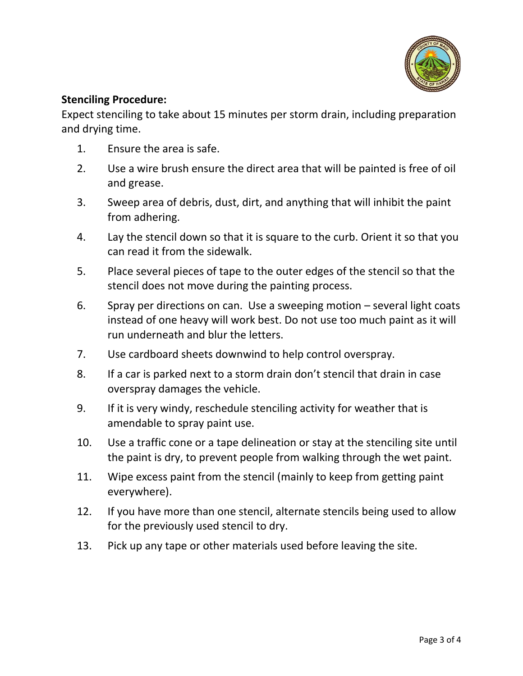

#### **Stenciling Procedure:**

Expect stenciling to take about 15 minutes per storm drain, including preparation and drying time.

- 1. Ensure the area is safe.
- 2. Use a wire brush ensure the direct area that will be painted is free of oil and grease.
- 3. Sweep area of debris, dust, dirt, and anything that will inhibit the paint from adhering.
- 4. Lay the stencil down so that it is square to the curb. Orient it so that you can read it from the sidewalk.
- 5. Place several pieces of tape to the outer edges of the stencil so that the stencil does not move during the painting process.
- 6. Spray per directions on can. Use a sweeping motion several light coats instead of one heavy will work best. Do not use too much paint as it will run underneath and blur the letters.
- 7. Use cardboard sheets downwind to help control overspray.
- 8. If a car is parked next to a storm drain don't stencil that drain in case overspray damages the vehicle.
- 9. If it is very windy, reschedule stenciling activity for weather that is amendable to spray paint use.
- 10. Use a traffic cone or a tape delineation or stay at the stenciling site until the paint is dry, to prevent people from walking through the wet paint.
- 11. Wipe excess paint from the stencil (mainly to keep from getting paint everywhere).
- 12. If you have more than one stencil, alternate stencils being used to allow for the previously used stencil to dry.
- 13. Pick up any tape or other materials used before leaving the site.